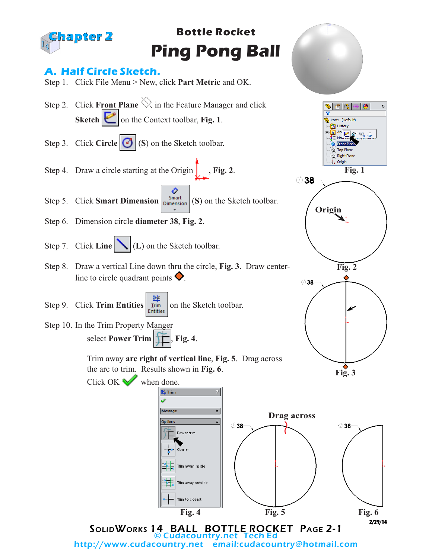

© Cudacountry.net Tech Ed email:cudacountry@hotmail.com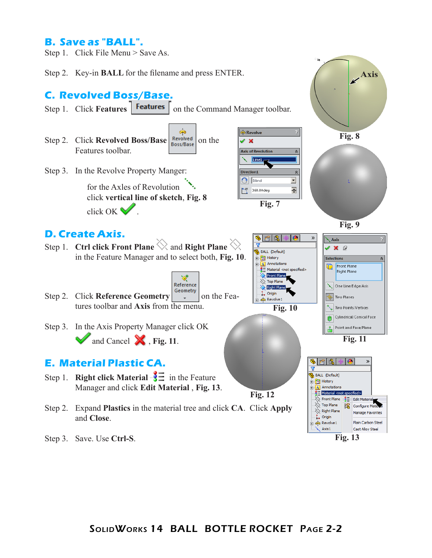## **B. Save as "BALL".**

Step 1. Click File Menu > Save As.

Step 2. Key-in **BALL** for the filename and press ENTER.

## **C. Revolved Boss/Base.**

- Step 1. Click **Features Features** on the Command Manager toolbar.
- ௸ Step 2. Click **Revolved Boss/Base Revolved** on the Features toolbar.
- Step 3. In the Revolve Property Manger:

for the Axles of Revolution click **vertical line of sketch**, **Fig. 8** click OK  $\blacksquare$ 

## **D. Create Axis.**

Step 1. **Ctrl click Front Plane**  $\heartsuit$  and **Right Plane**  $\heartsuit$ in the Feature Manager and to select both, **Fig. 10**.

∢ Reference Step 2. Click **Reference Geometry**  $\begin{bmatrix} \text{Geometry} \\ \text{B} \end{bmatrix}$  on the Features toolbar and **Axis** from the menu.

Step 3. In the Axis Property Manager click OK

## **E. Material Plastic CA.**

- Step 1. **Right click Material**  $\frac{1}{2}$  in the Feature
- Step 2. Expand **Plastics** in the material tree and click **CA**. Click **Apply** and **Close**.
- Step 3. Save. Use **Ctrl-S**.



**Fig. 7**

BALL (Default) **B** History

 $\overline{A}$  Annotations

 $\overline{\diamondsuit}$  Top Plane

Right Plane  $\downarrow$  Origin

**Co** Revolve 1

 $\hat{z}$ 

 $\hat{z}$ 

 $\overline{\phantom{a}}$ 

츾

 $\mathcal{D}$ 

.<br>Axis

 $\sqrt{\mathbf{x}}$   $\mathcal{Q}$ 

**Selections** 

 $60$  Revolve  $\mathbb{X}$ **Axis of Revolution** 

Line1 ╲ Direction1

 $\mathbf{G}$  Blind

 $\sum_{i=1}^{4}$  360.00deg

 $\overline{\mathbf{u}}$ 

**Fig. 10**

 $\frac{3}{2}$  Material <not specified>

Front Plane

**Fig. 9**

**Front Plane** 

**Right Plane** 

One Line/Edge/Axis

a. Two Points/Vertices Cylindrical/Conical Face

Point and Face/Plane

Two Planes

商

**Fig. 8**

**Axis**